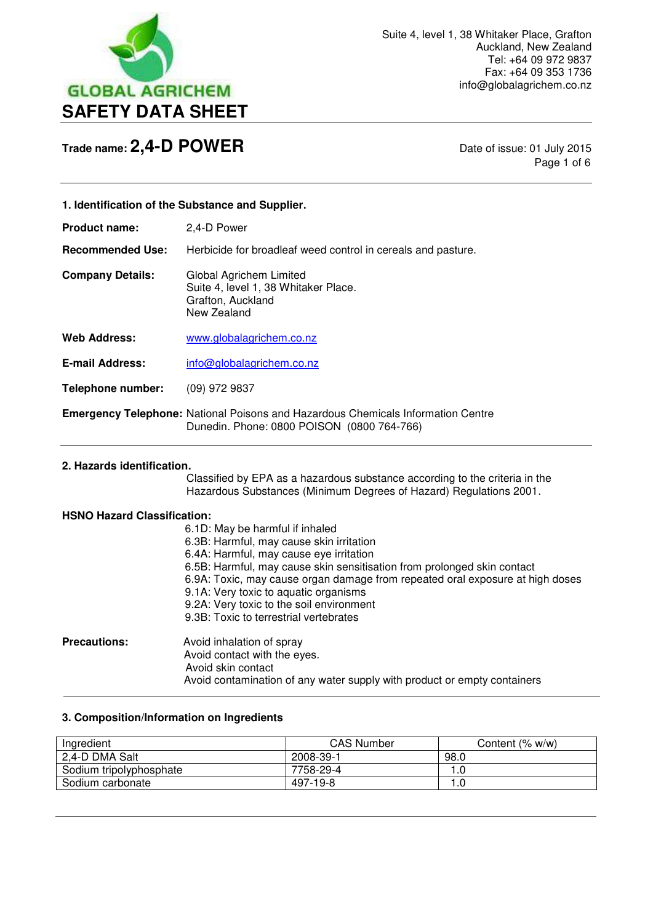

Page 1 of 6

| 1. Identification of the Substance and Supplier. |                                                                                                                                       |
|--------------------------------------------------|---------------------------------------------------------------------------------------------------------------------------------------|
| <b>Product name:</b>                             | 2,4-D Power                                                                                                                           |
| <b>Recommended Use:</b>                          | Herbicide for broadleaf weed control in cereals and pasture.                                                                          |
| <b>Company Details:</b>                          | Global Agrichem Limited<br>Suite 4, level 1, 38 Whitaker Place.<br>Grafton, Auckland<br>New Zealand                                   |
| Web Address:                                     | www.globalagrichem.co.nz                                                                                                              |
| <b>E-mail Address:</b>                           | info@globalagrichem.co.nz                                                                                                             |
| <b>Telephone number:</b>                         | $(09)$ 972 9837                                                                                                                       |
|                                                  | <b>Emergency Telephone:</b> National Poisons and Hazardous Chemicals Information Centre<br>Dunedin. Phone: 0800 POISON (0800 764-766) |
| 2. Hazards identification.                       |                                                                                                                                       |

 Classified by EPA as a hazardous substance according to the criteria in the Hazardous Substances (Minimum Degrees of Hazard) Regulations 2001.

### **HSNO Hazard Classification:**

 $\overline{a}$ 

|                     | 6.1D: May be harmful if inhaled                                               |
|---------------------|-------------------------------------------------------------------------------|
|                     | 6.3B: Harmful, may cause skin irritation                                      |
|                     | 6.4A: Harmful, may cause eye irritation                                       |
|                     | 6.5B: Harmful, may cause skin sensitisation from prolonged skin contact       |
|                     | 6.9A: Toxic, may cause organ damage from repeated oral exposure at high doses |
|                     | 9.1A: Very toxic to aquatic organisms                                         |
|                     | 9.2A: Very toxic to the soil environment                                      |
|                     | 9.3B: Toxic to terrestrial vertebrates                                        |
| <b>Precautions:</b> | Avoid inhalation of spray                                                     |
|                     | Avoid contact with the eyes.                                                  |
|                     | Avoid skin contact                                                            |
|                     | Avoid contamination of any water supply with product or empty containers      |

## **3. Composition/Information on Ingredients**

| Ingredient              | <b>CAS Number</b> | Content (% w/w) |
|-------------------------|-------------------|-----------------|
| 2,4-D DMA Salt          | 2008-39-1         | 98.0            |
| Sodium tripolyphosphate | 7758-29-4         | 1.0             |
| Sodium carbonate        | 497-19-8          | 1.0             |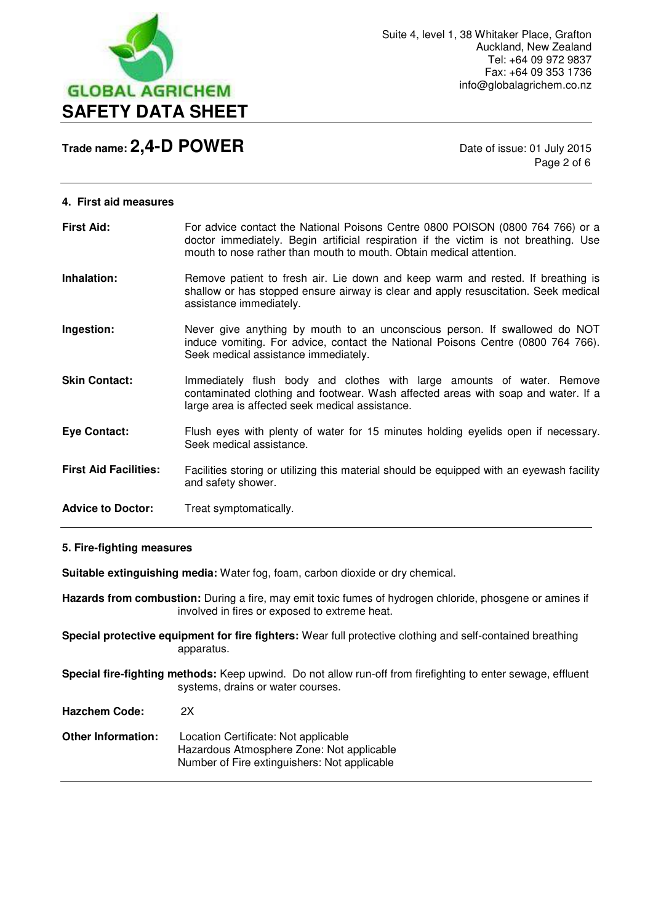

Page 2 of 6

| <b>First Aid:</b>            | For advice contact the National Poisons Centre 0800 POISON (0800 764 766) or a<br>doctor immediately. Begin artificial respiration if the victim is not breathing. Use<br>mouth to nose rather than mouth to mouth. Obtain medical attention. |
|------------------------------|-----------------------------------------------------------------------------------------------------------------------------------------------------------------------------------------------------------------------------------------------|
| Inhalation:                  | Remove patient to fresh air. Lie down and keep warm and rested. If breathing is<br>shallow or has stopped ensure airway is clear and apply resuscitation. Seek medical<br>assistance immediately.                                             |
| Ingestion:                   | Never give anything by mouth to an unconscious person. If swallowed do NOT<br>induce vomiting. For advice, contact the National Poisons Centre (0800 764 766).<br>Seek medical assistance immediately.                                        |
| <b>Skin Contact:</b>         | Immediately flush body and clothes with large amounts of water. Remove<br>contaminated clothing and footwear. Wash affected areas with soap and water. If a<br>large area is affected seek medical assistance.                                |
| <b>Eye Contact:</b>          | Flush eyes with plenty of water for 15 minutes holding eyelids open if necessary.<br>Seek medical assistance.                                                                                                                                 |
| <b>First Aid Facilities:</b> | Facilities storing or utilizing this material should be equipped with an eyewash facility<br>and safety shower.                                                                                                                               |
| <b>Advice to Doctor:</b>     | Treat symptomatically.                                                                                                                                                                                                                        |

## **5. Fire-fighting measures**

**Suitable extinguishing media:** Water fog, foam, carbon dioxide or dry chemical.

**Hazards from combustion:** During a fire, may emit toxic fumes of hydrogen chloride, phosgene or amines if involved in fires or exposed to extreme heat.

**Special protective equipment for fire fighters:** Wear full protective clothing and self-contained breathing apparatus.

**Special fire-fighting methods:** Keep upwind. Do not allow run-off from firefighting to enter sewage, effluent systems, drains or water courses.

**Hazchem Code:** 2X

| Location Certificate: Not applicable         |
|----------------------------------------------|
| Hazardous Atmosphere Zone: Not applicable    |
| Number of Fire extinguishers: Not applicable |
|                                              |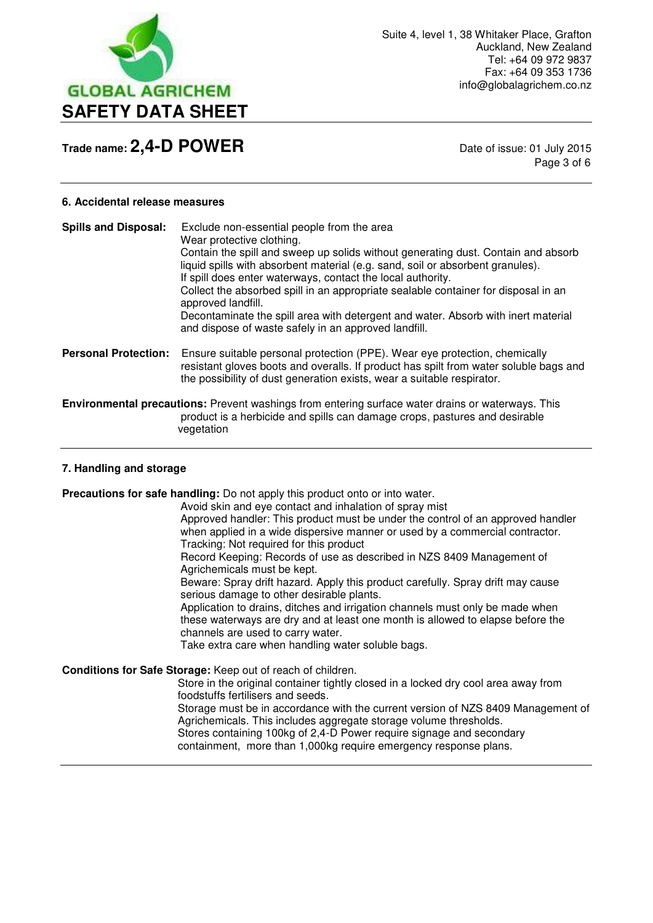

Page 3 of 6

### **6. Accidental release measures**

| <b>Spills and Disposal:</b> | Exclude non-essential people from the area<br>Wear protective clothing.<br>Contain the spill and sweep up solids without generating dust. Contain and absorb<br>liquid spills with absorbent material (e.g. sand, soil or absorbent granules).<br>If spill does enter waterways, contact the local authority.<br>Collect the absorbed spill in an appropriate sealable container for disposal in an<br>approved landfill.<br>Decontaminate the spill area with detergent and water. Absorb with inert material<br>and dispose of waste safely in an approved landfill. |
|-----------------------------|------------------------------------------------------------------------------------------------------------------------------------------------------------------------------------------------------------------------------------------------------------------------------------------------------------------------------------------------------------------------------------------------------------------------------------------------------------------------------------------------------------------------------------------------------------------------|
| <b>Personal Protection:</b> | Ensure suitable personal protection (PPE). Wear eye protection, chemically<br>resistant gloves boots and overalls. If product has spilt from water soluble bags and<br>the possibility of dust generation exists, wear a suitable respirator.                                                                                                                                                                                                                                                                                                                          |
|                             | <b>Environmental precautions:</b> Prevent washings from entering surface water drains or waterways. This<br>product is a herbicide and spills can damage crops, pastures and desirable<br>vegetation                                                                                                                                                                                                                                                                                                                                                                   |

#### **7. Handling and storage**

**Precautions for safe handling:** Do not apply this product onto or into water.

Avoid skin and eye contact and inhalation of spray mist Approved handler: This product must be under the control of an approved handler when applied in a wide dispersive manner or used by a commercial contractor. Tracking: Not required for this product

 Record Keeping: Records of use as described in NZS 8409 Management of Agrichemicals must be kept.

 Beware: Spray drift hazard. Apply this product carefully. Spray drift may cause serious damage to other desirable plants.

 Application to drains, ditches and irrigation channels must only be made when these waterways are dry and at least one month is allowed to elapse before the channels are used to carry water.

Take extra care when handling water soluble bags.

**Conditions for Safe Storage:** Keep out of reach of children.

 Store in the original container tightly closed in a locked dry cool area away from foodstuffs fertilisers and seeds.

Storage must be in accordance with the current version of NZS 8409 Management of Agrichemicals. This includes aggregate storage volume thresholds. Stores containing 100kg of 2,4-D Power require signage and secondary containment, more than 1,000kg require emergency response plans.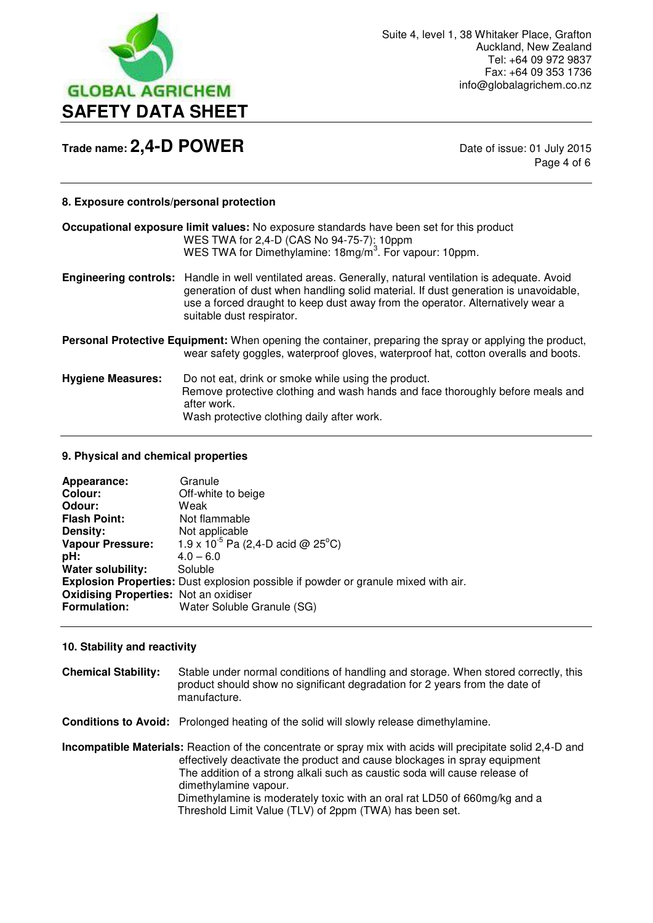

Page 4 of 6

### **8. Exposure controls/personal protection**

|                                                                                                                                                                                               | <b>Occupational exposure limit values:</b> No exposure standards have been set for this product<br>WES TWA for 2,4-D (CAS No 94-75-7): 10ppm<br>WES TWA for Dimethylamine: 18mg/m <sup>3</sup> . For vapour: 10ppm.                                                                                                   |
|-----------------------------------------------------------------------------------------------------------------------------------------------------------------------------------------------|-----------------------------------------------------------------------------------------------------------------------------------------------------------------------------------------------------------------------------------------------------------------------------------------------------------------------|
|                                                                                                                                                                                               | <b>Engineering controls:</b> Handle in well ventilated areas. Generally, natural ventilation is adequate. Avoid<br>generation of dust when handling solid material. If dust generation is unavoidable,<br>use a forced draught to keep dust away from the operator. Alternatively wear a<br>suitable dust respirator. |
| Personal Protective Equipment: When opening the container, preparing the spray or applying the product,<br>wear safety goggles, waterproof gloves, waterproof hat, cotton overalls and boots. |                                                                                                                                                                                                                                                                                                                       |
| <b>Hygiene Measures:</b>                                                                                                                                                                      | Do not eat, drink or smoke while using the product.<br>Remove protective clothing and wash hands and face thoroughly before meals and<br>after work.<br>Wash protective clothing daily after work.                                                                                                                    |

#### **9. Physical and chemical properties**

| Appearance:                                  | Granule                                                                                   |
|----------------------------------------------|-------------------------------------------------------------------------------------------|
| Colour:                                      | Off-white to beige                                                                        |
| Odour:                                       | Weak                                                                                      |
| <b>Flash Point:</b>                          | Not flammable                                                                             |
| Density:                                     | Not applicable                                                                            |
| <b>Vapour Pressure:</b>                      | 1.9 x 10 <sup>-5</sup> Pa (2,4-D acid @ 25 <sup>°</sup> C)                                |
| pH:                                          | $4.0 - 6.0$                                                                               |
| <b>Water solubility:</b>                     | Soluble                                                                                   |
|                                              | <b>Explosion Properties:</b> Dust explosion possible if powder or granule mixed with air. |
| <b>Oxidising Properties: Not an oxidiser</b> |                                                                                           |
| <b>Formulation:</b>                          | Water Soluble Granule (SG)                                                                |

#### **10. Stability and reactivity**

**Chemical Stability:** Stable under normal conditions of handling and storage. When stored correctly, this product should show no significant degradation for 2 years from the date of manufacture.

**Conditions to Avoid:** Prolonged heating of the solid will slowly release dimethylamine.

**Incompatible Materials:** Reaction of the concentrate or spray mix with acids will precipitate solid 2,4-D and effectively deactivate the product and cause blockages in spray equipment The addition of a strong alkali such as caustic soda will cause release of dimethylamine vapour. Dimethylamine is moderately toxic with an oral rat LD50 of 660mg/kg and a Threshold Limit Value (TLV) of 2ppm (TWA) has been set.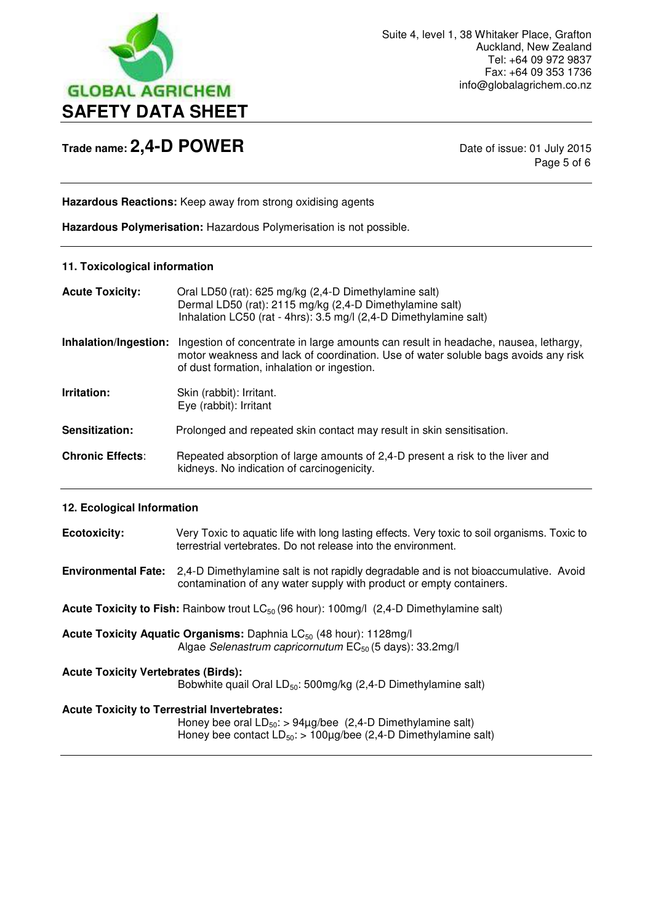

Page 5 of 6

**Hazardous Reactions:** Keep away from strong oxidising agents

**Hazardous Polymerisation:** Hazardous Polymerisation is not possible.

## **11. Toxicological information**

| <b>Acute Toxicity:</b>  | Oral LD50 (rat): 625 mg/kg (2,4-D Dimethylamine salt)<br>Dermal LD50 (rat): 2115 mg/kg (2,4-D Dimethylamine salt)<br>Inhalation LC50 (rat - 4hrs): 3.5 mg/l (2,4-D Dimethylamine salt)                                   |
|-------------------------|--------------------------------------------------------------------------------------------------------------------------------------------------------------------------------------------------------------------------|
| Inhalation/Ingestion:   | Ingestion of concentrate in large amounts can result in headache, nausea, lethargy,<br>motor weakness and lack of coordination. Use of water soluble bags avoids any risk<br>of dust formation, inhalation or ingestion. |
| Irritation:             | Skin (rabbit): Irritant.<br>Eye (rabbit): Irritant                                                                                                                                                                       |
| Sensitization:          | Prolonged and repeated skin contact may result in skin sensitisation.                                                                                                                                                    |
| <b>Chronic Effects:</b> | Repeated absorption of large amounts of 2,4-D present a risk to the liver and<br>kidneys. No indication of carcinogenicity.                                                                                              |

## **12. Ecological Information**

| <b>Ecotoxicity:</b>                                                                                                                                                                             | Very Toxic to aquatic life with long lasting effects. Very toxic to soil organisms. Toxic to<br>terrestrial vertebrates. Do not release into the environment. |  |
|-------------------------------------------------------------------------------------------------------------------------------------------------------------------------------------------------|---------------------------------------------------------------------------------------------------------------------------------------------------------------|--|
| <b>Environmental Fate:</b>                                                                                                                                                                      | 2,4-D Dimethylamine salt is not rapidly degradable and is not bioaccumulative. Avoid<br>contamination of any water supply with product or empty containers.   |  |
| <b>Acute Toxicity to Fish:</b> Rainbow trout $LC_{50}$ (96 hour): 100mg/l (2,4-D Dimethylamine salt)                                                                                            |                                                                                                                                                               |  |
|                                                                                                                                                                                                 | Acute Toxicity Aquatic Organisms: Daphnia LC <sub>50</sub> (48 hour): 1128mg/l<br>Algae Selenastrum capricornutum EC <sub>50</sub> (5 days): 33.2mg/l         |  |
| <b>Acute Toxicity Vertebrates (Birds):</b><br>Bobwhite quail Oral LD <sub>50</sub> : 500mg/kg (2,4-D Dimethylamine salt)                                                                        |                                                                                                                                                               |  |
| <b>Acute Toxicity to Terrestrial Invertebrates:</b><br>Honey bee oral $LD_{50}$ : > 94µg/bee (2,4-D Dimethylamine salt)<br>Honey bee contact $LD_{50}$ : > 100µg/bee (2,4-D Dimethylamine salt) |                                                                                                                                                               |  |